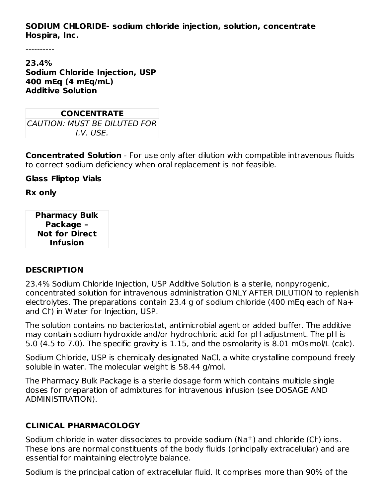#### **SODIUM CHLORIDE- sodium chloride injection, solution, concentrate Hospira, Inc.**

----------

**23.4% Sodium Chloride Injection, USP 400 mEq (4 mEq/mL) Additive Solution**

| <b>CONCENTRATE</b>           |  |  |  |  |  |
|------------------------------|--|--|--|--|--|
| CAUTION: MUST BE DILUTED FOR |  |  |  |  |  |
| I.V. USE.                    |  |  |  |  |  |

**Concentrated Solution** - For use only after dilution with compatible intravenous fluids to correct sodium deficiency when oral replacement is not feasible.

**Glass Fliptop Vials**

**Rx only**

**Pharmacy Bulk Package – Not for Direct Infusion**

#### **DESCRIPTION**

23.4% Sodium Chloride Injection, USP Additive Solution is a sterile, nonpyrogenic, concentrated solution for intravenous administration ONLY AFTER DILUTION to replenish electrolytes. The preparations contain 23.4 g of sodium chloride (400 mEq each of Na+ and Cl<sup>-</sup>) in Water for Injection, USP.

The solution contains no bacteriostat, antimicrobial agent or added buffer. The additive may contain sodium hydroxide and/or hydrochloric acid for pH adjustment. The pH is 5.0 (4.5 to 7.0). The specific gravity is 1.15, and the osmolarity is 8.01 mOsmol/L (calc).

Sodium Chloride, USP is chemically designated NaCl, a white crystalline compound freely soluble in water. The molecular weight is 58.44 g/mol.

The Pharmacy Bulk Package is a sterile dosage form which contains multiple single doses for preparation of admixtures for intravenous infusion (see DOSAGE AND ADMINISTRATION).

## **CLINICAL PHARMACOLOGY**

Sodium chloride in water dissociates to provide sodium ( $\text{Na}^+$ ) and chloride (Cl ) ions. These ions are normal constituents of the body fluids (principally extracellular) and are essential for maintaining electrolyte balance.

Sodium is the principal cation of extracellular fluid. It comprises more than 90% of the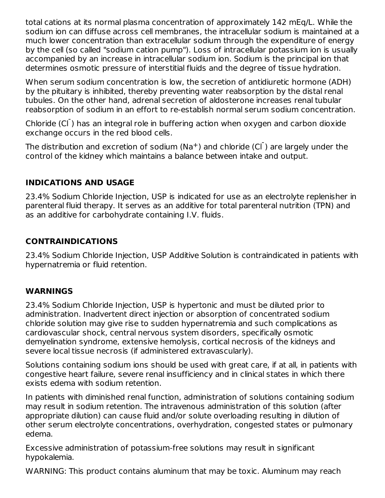total cations at its normal plasma concentration of approximately 142 mEq/L. While the sodium ion can diffuse across cell membranes, the intracellular sodium is maintained at a much lower concentration than extracellular sodium through the expenditure of energy by the cell (so called "sodium cation pump"). Loss of intracellular potassium ion is usually accompanied by an increase in intracellular sodium ion. Sodium is the principal ion that determines osmotic pressure of interstitial fluids and the degree of tissue hydration.

When serum sodium concentration is low, the secretion of antidiuretic hormone (ADH) by the pituitary is inhibited, thereby preventing water reabsorption by the distal renal tubules. On the other hand, adrenal secretion of aldosterone increases renal tubular reabsorption of sodium in an effort to re-establish normal serum sodium concentration.

Chloride (CI<sup>-</sup>) has an integral role in buffering action when oxygen and carbon dioxide exchange occurs in the red blood cells.

The distribution and excretion of sodium (Na<sup>+</sup>) and chloride (Cl<sup>-</sup>) are largely under the control of the kidney which maintains a balance between intake and output.

## **INDICATIONS AND USAGE**

23.4% Sodium Chloride Injection, USP is indicated for use as an electrolyte replenisher in parenteral fluid therapy. It serves as an additive for total parenteral nutrition (TPN) and as an additive for carbohydrate containing I.V. fluids.

#### **CONTRAINDICATIONS**

23.4% Sodium Chloride Injection, USP Additive Solution is contraindicated in patients with hypernatremia or fluid retention.

## **WARNINGS**

23.4% Sodium Chloride Injection, USP is hypertonic and must be diluted prior to administration. Inadvertent direct injection or absorption of concentrated sodium chloride solution may give rise to sudden hypernatremia and such complications as cardiovascular shock, central nervous system disorders, specifically osmotic demyelination syndrome, extensive hemolysis, cortical necrosis of the kidneys and severe local tissue necrosis (if administered extravascularly).

Solutions containing sodium ions should be used with great care, if at all, in patients with congestive heart failure, severe renal insufficiency and in clinical states in which there exists edema with sodium retention.

In patients with diminished renal function, administration of solutions containing sodium may result in sodium retention. The intravenous administration of this solution (after appropriate dilution) can cause fluid and/or solute overloading resulting in dilution of other serum electrolyte concentrations, overhydration, congested states or pulmonary edema.

Excessive administration of potassium-free solutions may result in significant hypokalemia.

WARNING: This product contains aluminum that may be toxic. Aluminum may reach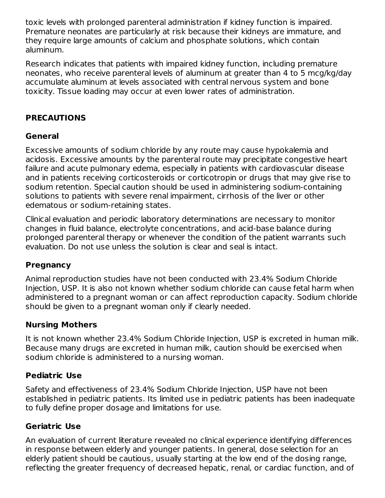toxic levels with prolonged parenteral administration if kidney function is impaired. Premature neonates are particularly at risk because their kidneys are immature, and they require large amounts of calcium and phosphate solutions, which contain aluminum.

Research indicates that patients with impaired kidney function, including premature neonates, who receive parenteral levels of aluminum at greater than 4 to 5 mcg/kg/day accumulate aluminum at levels associated with central nervous system and bone toxicity. Tissue loading may occur at even lower rates of administration.

# **PRECAUTIONS**

#### **General**

Excessive amounts of sodium chloride by any route may cause hypokalemia and acidosis. Excessive amounts by the parenteral route may precipitate congestive heart failure and acute pulmonary edema, especially in patients with cardiovascular disease and in patients receiving corticosteroids or corticotropin or drugs that may give rise to sodium retention. Special caution should be used in administering sodium-containing solutions to patients with severe renal impairment, cirrhosis of the liver or other edematous or sodium-retaining states.

Clinical evaluation and periodic laboratory determinations are necessary to monitor changes in fluid balance, electrolyte concentrations, and acid-base balance during prolonged parenteral therapy or whenever the condition of the patient warrants such evaluation. Do not use unless the solution is clear and seal is intact.

#### **Pregnancy**

Animal reproduction studies have not been conducted with 23.4% Sodium Chloride Injection, USP. It is also not known whether sodium chloride can cause fetal harm when administered to a pregnant woman or can affect reproduction capacity. Sodium chloride should be given to a pregnant woman only if clearly needed.

#### **Nursing Mothers**

It is not known whether 23.4% Sodium Chloride Injection, USP is excreted in human milk. Because many drugs are excreted in human milk, caution should be exercised when sodium chloride is administered to a nursing woman.

## **Pediatric Use**

Safety and effectiveness of 23.4% Sodium Chloride Injection, USP have not been established in pediatric patients. Its limited use in pediatric patients has been inadequate to fully define proper dosage and limitations for use.

## **Geriatric Use**

An evaluation of current literature revealed no clinical experience identifying differences in response between elderly and younger patients. In general, dose selection for an elderly patient should be cautious, usually starting at the low end of the dosing range, reflecting the greater frequency of decreased hepatic, renal, or cardiac function, and of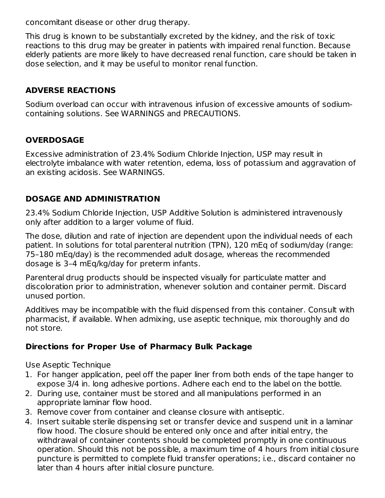concomitant disease or other drug therapy.

This drug is known to be substantially excreted by the kidney, and the risk of toxic reactions to this drug may be greater in patients with impaired renal function. Because elderly patients are more likely to have decreased renal function, care should be taken in dose selection, and it may be useful to monitor renal function.

## **ADVERSE REACTIONS**

Sodium overload can occur with intravenous infusion of excessive amounts of sodiumcontaining solutions. See WARNINGS and PRECAUTIONS.

## **OVERDOSAGE**

Excessive administration of 23.4% Sodium Chloride Injection, USP may result in electrolyte imbalance with water retention, edema, loss of potassium and aggravation of an existing acidosis. See WARNINGS.

# **DOSAGE AND ADMINISTRATION**

23.4% Sodium Chloride Injection, USP Additive Solution is administered intravenously only after addition to a larger volume of fluid.

The dose, dilution and rate of injection are dependent upon the individual needs of each patient. In solutions for total parenteral nutrition (TPN), 120 mEq of sodium/day (range: 75–180 mEq/day) is the recommended adult dosage, whereas the recommended dosage is 3–4 mEq/kg/day for preterm infants.

Parenteral drug products should be inspected visually for particulate matter and discoloration prior to administration, whenever solution and container permit. Discard unused portion.

Additives may be incompatible with the fluid dispensed from this container. Consult with pharmacist, if available. When admixing, use aseptic technique, mix thoroughly and do not store.

## **Directions for Proper Use of Pharmacy Bulk Package**

Use Aseptic Technique

- 1. For hanger application, peel off the paper liner from both ends of the tape hanger to expose 3/4 in. long adhesive portions. Adhere each end to the label on the bottle.
- 2. During use, container must be stored and all manipulations performed in an appropriate laminar flow hood.
- 3. Remove cover from container and cleanse closure with antiseptic.
- 4. Insert suitable sterile dispensing set or transfer device and suspend unit in a laminar flow hood. The closure should be entered only once and after initial entry, the withdrawal of container contents should be completed promptly in one continuous operation. Should this not be possible, a maximum time of 4 hours from initial closure puncture is permitted to complete fluid transfer operations; i.e., discard container no later than 4 hours after initial closure puncture.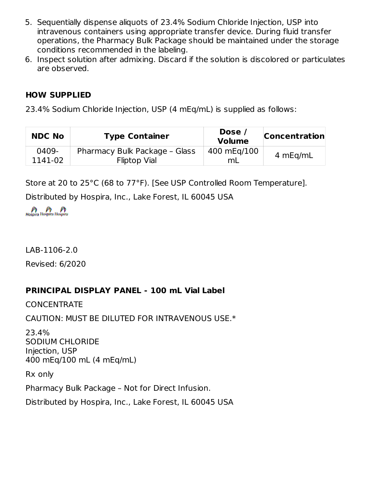- 5. Sequentially dispense aliquots of 23.4% Sodium Chloride Injection, USP into intravenous containers using appropriate transfer device. During fluid transfer operations, the Pharmacy Bulk Package should be maintained under the storage conditions recommended in the labeling.
- 6. Inspect solution after admixing. Discard if the solution is discolored or particulates are observed.

#### **HOW SUPPLIED**

23.4% Sodium Chloride Injection, USP (4 mEq/mL) is supplied as follows:

| <b>NDC No</b> | <b>Type Container</b>         | Dose /<br><b>Volume</b> | <b>Concentration</b> |
|---------------|-------------------------------|-------------------------|----------------------|
| 0409-         | Pharmacy Bulk Package - Glass | 400 mEg/100             | 4 mEg/mL             |
| 1141-02       | <b>Fliptop Vial</b>           | mL                      |                      |

Store at 20 to 25°C (68 to 77°F). [See USP Controlled Room Temperature].

Distributed by Hospira, Inc., Lake Forest, IL 60045 USA

LAB-1106-2.0

Revised: 6/2020

# **PRINCIPAL DISPLAY PANEL - 100 mL Vial Label**

CONCENTRATE

CAUTION: MUST BE DILUTED FOR INTRAVENOUS USE.\*

23.4% SODIUM CHLORIDE Injection, USP 400 mEq/100 mL (4 mEq/mL)

Rx only

Pharmacy Bulk Package – Not for Direct Infusion.

Distributed by Hospira, Inc., Lake Forest, IL 60045 USA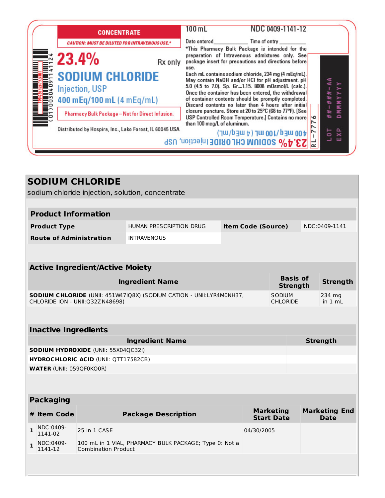| <b>CONCENTRATE</b>                                      |         | 100 m L                     | NDC 0409-1141-12                                                                                                                                                                                                           |    |              |                  |
|---------------------------------------------------------|---------|-----------------------------|----------------------------------------------------------------------------------------------------------------------------------------------------------------------------------------------------------------------------|----|--------------|------------------|
| <b>CAUTION: MUST BE DILUTED FOR INTRAVENOUS USE.</b>    |         |                             | Date entered Time of entry                                                                                                                                                                                                 |    |              |                  |
| <b>23.4%</b>                                            | Rx only | use.                        | *This Pharmacy Bulk Package is intended for the<br>preparation of Intravenous admixtures only. See<br>package insert for precautions and directions before                                                                 |    |              |                  |
| <b>SODIUM CHLORIDE</b><br><b>Injection, USP</b>         |         |                             | Each mL contains sodium chloride, 234 mg (4 mEq/mL).<br>May contain NaOH and/or HCI for pH adjustment. pH<br>5.0 (4.5 to 7.0). Sp. Gr.=1.15. 8008 mOsmol/L (calc.).<br>Once the container has been entered, the withdrawal |    | $\mathbf{H}$ |                  |
| 400 mEq/100 mL (4 mEq/mL)                               |         |                             | of container contents should be promptly completed.<br>Discard contents no later than 4 hours after initial                                                                                                                |    | Ħ.           | ∽<br>z<br>z.     |
| Pharmacy Bulk Package - Not for Direct Infusion.        |         |                             | closure puncture. Store at 20 to 25°C (68 to 77°F). [See<br>USP Controlled Room Temperature.] Contains no more                                                                                                             | ١ю | #<br>÷.      | ×<br>$\triangle$ |
| Distributed by Hospira, Inc., Lake Forest, IL 60045 USA |         | than 100 mcg/L of aluminum. | 400 mEq/nJ00 mL (4 mEq/mL)                                                                                                                                                                                                 |    | 능            | 앚                |
|                                                         |         |                             | 23.4% SODIUM CHLORIDE Injection, USP                                                                                                                                                                                       |    |              | ш                |

| <b>SODIUM CHLORIDE</b><br>sodium chloride injection, solution, concentrate                                       |                                        |                            |                                                        |  |                                  |                                       |                 |                   |                                     |  |
|------------------------------------------------------------------------------------------------------------------|----------------------------------------|----------------------------|--------------------------------------------------------|--|----------------------------------|---------------------------------------|-----------------|-------------------|-------------------------------------|--|
|                                                                                                                  |                                        |                            |                                                        |  |                                  |                                       |                 |                   |                                     |  |
|                                                                                                                  | <b>Product Information</b>             |                            |                                                        |  |                                  |                                       |                 |                   |                                     |  |
|                                                                                                                  | <b>Product Type</b>                    |                            | HUMAN PRESCRIPTION DRUG                                |  | <b>Item Code (Source)</b>        |                                       |                 |                   | NDC:0409-1141                       |  |
|                                                                                                                  | <b>Route of Administration</b>         |                            | <b>INTRAVENOUS</b>                                     |  |                                  |                                       |                 |                   |                                     |  |
|                                                                                                                  |                                        |                            |                                                        |  |                                  |                                       |                 |                   |                                     |  |
|                                                                                                                  | <b>Active Ingredient/Active Moiety</b> |                            |                                                        |  |                                  |                                       |                 |                   |                                     |  |
|                                                                                                                  |                                        |                            |                                                        |  |                                  |                                       | <b>Basis of</b> |                   |                                     |  |
|                                                                                                                  |                                        |                            | <b>Ingredient Name</b>                                 |  |                                  |                                       | <b>Strength</b> |                   | <b>Strength</b>                     |  |
| <b>SODIUM CHLORIDE (UNII: 451W47IQ8X) (SODIUM CATION - UNII:LYR4M0NH37,</b><br>CHLORIDE ION - UNII: 032Z N48698) |                                        |                            |                                                        |  | <b>SODIUM</b><br><b>CHLORIDE</b> |                                       |                 | 234 mg<br>in 1 mL |                                     |  |
|                                                                                                                  |                                        |                            |                                                        |  |                                  |                                       |                 |                   |                                     |  |
|                                                                                                                  | <b>Inactive Ingredients</b>            |                            |                                                        |  |                                  |                                       |                 |                   |                                     |  |
| <b>Ingredient Name</b>                                                                                           |                                        |                            |                                                        |  |                                  | <b>Strength</b>                       |                 |                   |                                     |  |
| <b>SODIUM HYDROXIDE (UNII: 55X04QC32I)</b>                                                                       |                                        |                            |                                                        |  |                                  |                                       |                 |                   |                                     |  |
| <b>HYDROCHLORIC ACID (UNII: QTT17582CB)</b>                                                                      |                                        |                            |                                                        |  |                                  |                                       |                 |                   |                                     |  |
|                                                                                                                  | <b>WATER (UNII: 059QF0KO0R)</b>        |                            |                                                        |  |                                  |                                       |                 |                   |                                     |  |
|                                                                                                                  |                                        |                            |                                                        |  |                                  |                                       |                 |                   |                                     |  |
| <b>Packaging</b>                                                                                                 |                                        |                            |                                                        |  |                                  |                                       |                 |                   |                                     |  |
|                                                                                                                  | # Item Code                            |                            | <b>Package Description</b>                             |  |                                  | <b>Marketing</b><br><b>Start Date</b> |                 |                   | <b>Marketing End</b><br><b>Date</b> |  |
| 1                                                                                                                | NDC:0409-<br>1141-02                   | 25 in 1 CASE               |                                                        |  | 04/30/2005                       |                                       |                 |                   |                                     |  |
| $\mathbf{1}$                                                                                                     | NDC:0409-<br>1141-12                   | <b>Combination Product</b> | 100 mL in 1 VIAL, PHARMACY BULK PACKAGE; Type 0: Not a |  |                                  |                                       |                 |                   |                                     |  |
|                                                                                                                  |                                        |                            |                                                        |  |                                  |                                       |                 |                   |                                     |  |